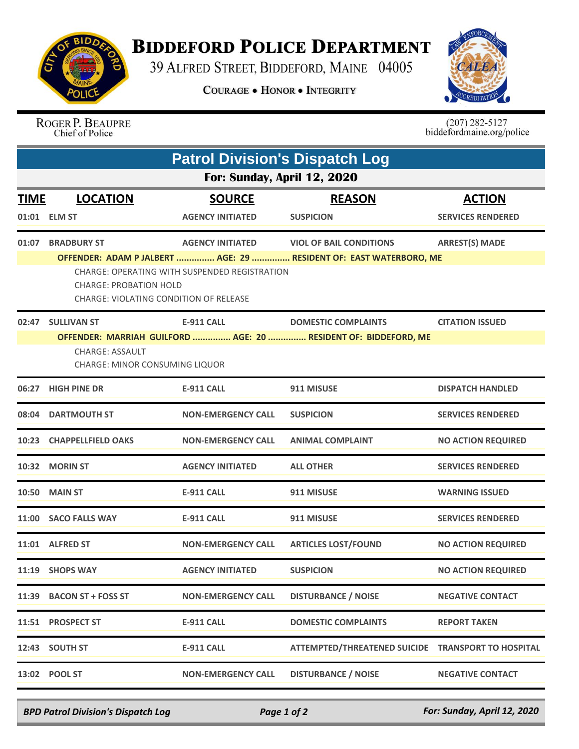

## **BIDDEFORD POLICE DEPARTMENT**

39 ALFRED STREET, BIDDEFORD, MAINE 04005

**COURAGE . HONOR . INTEGRITY** 



## ROGER P. BEAUPRE<br>Chief of Police

 $(207)$  282-5127<br>biddefordmaine.org/police

| <b>Patrol Division's Dispatch Log</b> |                                                                                                                                    |                                               |                                                                    |                           |  |  |  |
|---------------------------------------|------------------------------------------------------------------------------------------------------------------------------------|-----------------------------------------------|--------------------------------------------------------------------|---------------------------|--|--|--|
| For: Sunday, April 12, 2020           |                                                                                                                                    |                                               |                                                                    |                           |  |  |  |
| <b>TIME</b>                           | <b>LOCATION</b>                                                                                                                    | <b>SOURCE</b>                                 | <b>REASON</b>                                                      | <b>ACTION</b>             |  |  |  |
|                                       | 01:01 ELM ST                                                                                                                       | <b>AGENCY INITIATED</b>                       | <b>SUSPICION</b>                                                   | <b>SERVICES RENDERED</b>  |  |  |  |
| 01:07                                 | <b>BRADBURY ST</b>                                                                                                                 | <b>AGENCY INITIATED</b>                       | <b>VIOL OF BAIL CONDITIONS</b>                                     | <b>ARREST(S) MADE</b>     |  |  |  |
|                                       | <b>CHARGE: PROBATION HOLD</b><br>CHARGE: VIOLATING CONDITION OF RELEASE                                                            | CHARGE: OPERATING WITH SUSPENDED REGISTRATION | OFFENDER: ADAM P JALBERT  AGE: 29  RESIDENT OF: EAST WATERBORO, ME |                           |  |  |  |
|                                       | 02:47 SULLIVAN ST                                                                                                                  | <b>E-911 CALL</b>                             | <b>DOMESTIC COMPLAINTS</b>                                         | <b>CITATION ISSUED</b>    |  |  |  |
|                                       | OFFENDER: MARRIAH GUILFORD  AGE: 20  RESIDENT OF: BIDDEFORD, ME<br><b>CHARGE: ASSAULT</b><br><b>CHARGE: MINOR CONSUMING LIQUOR</b> |                                               |                                                                    |                           |  |  |  |
|                                       | 06:27 HIGH PINE DR                                                                                                                 | <b>E-911 CALL</b>                             | 911 MISUSE                                                         | <b>DISPATCH HANDLED</b>   |  |  |  |
|                                       | 08:04 DARTMOUTH ST                                                                                                                 | <b>NON-EMERGENCY CALL</b>                     | <b>SUSPICION</b>                                                   | <b>SERVICES RENDERED</b>  |  |  |  |
|                                       | 10:23 CHAPPELLFIELD OAKS                                                                                                           | <b>NON-EMERGENCY CALL</b>                     | <b>ANIMAL COMPLAINT</b>                                            | <b>NO ACTION REQUIRED</b> |  |  |  |
|                                       | 10:32 MORIN ST                                                                                                                     | <b>AGENCY INITIATED</b>                       | <b>ALL OTHER</b>                                                   | <b>SERVICES RENDERED</b>  |  |  |  |
|                                       | <b>10:50 MAIN ST</b>                                                                                                               | <b>E-911 CALL</b>                             | 911 MISUSE                                                         | <b>WARNING ISSUED</b>     |  |  |  |
|                                       | 11:00 SACO FALLS WAY                                                                                                               | <b>E-911 CALL</b>                             | 911 MISUSE                                                         | <b>SERVICES RENDERED</b>  |  |  |  |
|                                       | 11:01 ALFRED ST                                                                                                                    | <b>NON-EMERGENCY CALL</b>                     | <b>ARTICLES LOST/FOUND</b>                                         | <b>NO ACTION REQUIRED</b> |  |  |  |
|                                       | 11:19 SHOPS WAY                                                                                                                    | <b>AGENCY INITIATED</b>                       | <b>SUSPICION</b>                                                   | <b>NO ACTION REQUIRED</b> |  |  |  |
| 11:39                                 | <b>BACON ST + FOSS ST</b>                                                                                                          | <b>NON-EMERGENCY CALL</b>                     | <b>DISTURBANCE / NOISE</b>                                         | <b>NEGATIVE CONTACT</b>   |  |  |  |
|                                       | 11:51 PROSPECT ST                                                                                                                  | <b>E-911 CALL</b>                             | <b>DOMESTIC COMPLAINTS</b>                                         | <b>REPORT TAKEN</b>       |  |  |  |
|                                       | 12:43 SOUTH ST                                                                                                                     | <b>E-911 CALL</b>                             | ATTEMPTED/THREATENED SUICIDE TRANSPORT TO HOSPITAL                 |                           |  |  |  |
|                                       | 13:02 POOL ST                                                                                                                      | <b>NON-EMERGENCY CALL</b>                     | <b>DISTURBANCE / NOISE</b>                                         | <b>NEGATIVE CONTACT</b>   |  |  |  |

*BPD Patrol Division's Dispatch Log Page 1 of 2 For: Sunday, April 12, 2020*